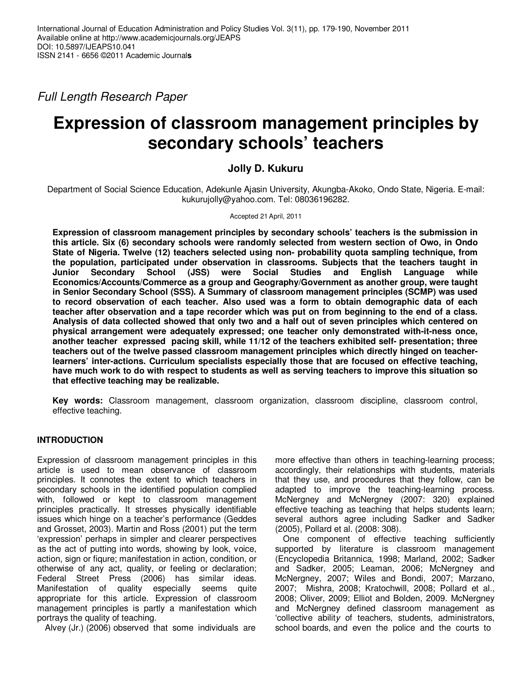Full Length Research Paper

# **Expression of classroom management principles by secondary schools' teachers**

# **Jolly D. Kukuru**

Department of Social Science Education, Adekunle Ajasin University, Akungba-Akoko, Ondo State, Nigeria. E-mail: kukurujolly@yahoo.com. Tel: 08036196282.

## Accepted 21 April, 2011

**Expression of classroom management principles by secondary schools' teachers is the submission in this article. Six (6) secondary schools were randomly selected from western section of Owo, in Ondo State of Nigeria. Twelve (12) teachers selected using non- probability quota sampling technique, from the population, participated under observation in classrooms. Subjects that the teachers taught in Junior Secondary School (JSS) were Social Studies and English Language while Economics/Accounts/Commerce as a group and Geography/Government as another group, were taught in Senior Secondary School (SSS). A Summary of classroom management principles (SCMP) was used to record observation of each teacher. Also used was a form to obtain demographic data of each teacher after observation and a tape recorder which was put on from beginning to the end of a class. Analysis of data collected showed that only two and a half out of seven principles which centered on physical arrangement were adequately expressed; one teacher only demonstrated with-it-ness once, another teacher expressed pacing skill, while 11/12 of the teachers exhibited self- presentation; three teachers out of the twelve passed classroom management principles which directly hinged on teacherlearners' inter-actions. Curriculum specialists especially those that are focused on effective teaching, have much work to do with respect to students as well as serving teachers to improve this situation so that effective teaching may be realizable.** 

**Key words:** Classroom management, classroom organization, classroom discipline, classroom control, effective teaching.

# **INTRODUCTION**

Expression of classroom management principles in this article is used to mean observance of classroom principles. It connotes the extent to which teachers in secondary schools in the identified population complied with, followed or kept to classroom management principles practically. It stresses physically identifiable issues which hinge on a teacher's performance (Geddes and Grosset, 2003). Martin and Ross (2001) put the term 'expression' perhaps in simpler and clearer perspectives as the act of putting into words, showing by look, voice, action, sign or fiqure; manifestation in action, condition, or otherwise of any act, quality, or feeling or declaration; Federal Street Press (2006) has similar ideas. Manifestation of quality especially seems quite appropriate for this article. Expression of classroom management principles is partly a manifestation which portrays the quality of teaching.

Alvey (Jr.) (2006) observed that some individuals are

more effective than others in teaching-learning process; accordingly, their relationships with students, materials that they use, and procedures that they follow, can be adapted to improve the teaching-learning process. McNergney and McNergney (2007: 320) explained effective teaching as teaching that helps students learn; several authors agree including Sadker and Sadker (2005), Pollard et al. (2008: 308).

One component of effective teaching sufficiently supported by literature is classroom management (Encyclopedia Britannica, 1998; Marland, 2002; Sadker and Sadker, 2005; Leaman, 2006; McNergney and McNergney, 2007; Wiles and Bondi, 2007; Marzano, 2007; Mishra, 2008; Kratochwill, 2008; Pollard et al., 2008; Oliver, 2009; Elliot and Bolden, 2009. McNergney and McNergney defined classroom management as 'collective ability of teachers, students, administrators, school boards, and even the police and the courts to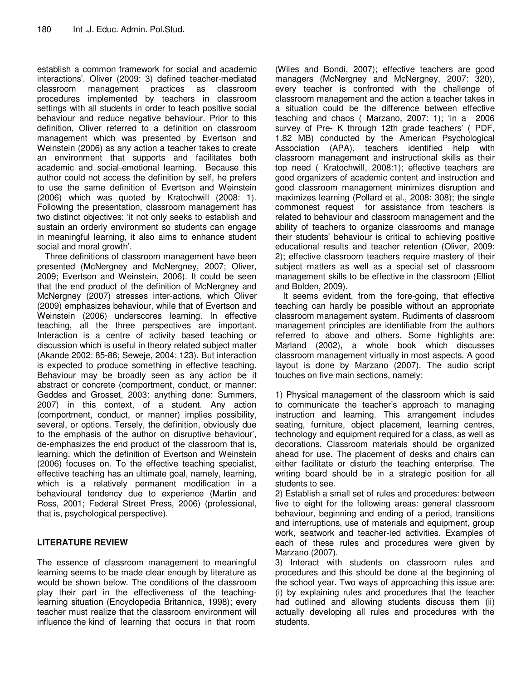establish a common framework for social and academic interactions'. Oliver (2009: 3) defined teacher-mediated classroom management practices as classroom procedures implemented by teachers in classroom settings with all students in order to teach positive social behaviour and reduce negative behaviour. Prior to this definition, Oliver referred to a definition on classroom management which was presented by Evertson and Weinstein (2006) as any action a teacher takes to create an environment that supports and facilitates both academic and social-emotional learning. Because this author could not access the definition by self, he prefers to use the same definition of Evertson and Weinstein (2006) which was quoted by Kratochwill (2008: 1). Following the presentation, classroom management has two distinct objectives: 'it not only seeks to establish and sustain an orderly environment so students can engage in meaningful learning, it also aims to enhance student social and moral growth'.

Three definitions of classroom management have been presented (McNergney and McNergney, 2007; Oliver, 2009; Evertson and Weinstein, 2006). It could be seen that the end product of the definition of McNergney and McNergney (2007) stresses inter-actions, which Oliver (2009) emphasizes behaviour, while that of Evertson and Weinstein (2006) underscores learning. In effective teaching, all the three perspectives are important. Interaction is a centre of activity based teaching or discussion which is useful in theory related subject matter (Akande 2002: 85-86; Seweje, 2004: 123). But interaction is expected to produce something in effective teaching. Behaviour may be broadly seen as any action be it abstract or concrete (comportment, conduct, or manner: Geddes and Grosset, 2003: anything done: Summers, 2007) in this context, of a student. Any action (comportment, conduct, or manner) implies possibility, several, or options. Tersely, the definition, obviously due to the emphasis of the author on disruptive behaviour', de-emphasizes the end product of the classroom that is, learning, which the definition of Evertson and Weinstein (2006) focuses on. To the effective teaching specialist, effective teaching has an ultimate goal, namely, learning, which is a relatively permanent modification in a behavioural tendency due to experience (Martin and Ross, 2001; Federal Street Press, 2006) (professional, that is, psychological perspective).

# **LITERATURE REVIEW**

The essence of classroom management to meaningful learning seems to be made clear enough by literature as would be shown below. The conditions of the classroom play their part in the effectiveness of the teachinglearning situation (Encyclopedia Britannica, 1998); every teacher must realize that the classroom environment will influence the kind of learning that occurs in that room

(Wiles and Bondi, 2007); effective teachers are good managers (McNergney and McNergney, 2007: 320), every teacher is confronted with the challenge of classroom management and the action a teacher takes in a situation could be the difference between effective teaching and chaos ( Marzano, 2007: 1); 'in a 2006 survey of Pre- K through 12th grade teachers' ( PDF, 1.82 MB) conducted by the American Psychological Association (APA), teachers identified help with classroom management and instructional skills as their top need ( Kratochwill, 2008:1); effective teachers are good organizers of academic content and instruction and good classroom management minimizes disruption and maximizes learning (Pollard et al., 2008: 308); the single commonest request for assistance from teachers is related to behaviour and classroom management and the ability of teachers to organize classrooms and manage their students' behaviour is critical to achieving positive educational results and teacher retention (Oliver, 2009: 2); effective classroom teachers require mastery of their subject matters as well as a special set of classroom management skills to be effective in the classroom (Elliot and Bolden, 2009).

It seems evident, from the fore-going, that effective teaching can hardly be possible without an appropriate classroom management system. Rudiments of classroom management principles are identifiable from the authors referred to above and others. Some highlights are: Marland (2002), a whole book which discusses classroom management virtually in most aspects. A good layout is done by Marzano (2007). The audio script touches on five main sections, namely:

1) Physical management of the classroom which is said to communicate the teacher's approach to managing instruction and learning. This arrangement includes seating, furniture, object placement, learning centres, technology and equipment required for a class, as well as decorations. Classroom materials should be organized ahead for use. The placement of desks and chairs can either facilitate or disturb the teaching enterprise. The writing board should be in a strategic position for all students to see.

2) Establish a small set of rules and procedures: between five to eight for the following areas: general classroom behaviour, beginning and ending of a period, transitions and interruptions, use of materials and equipment, group work, seatwork and teacher-led activities. Examples of each of these rules and procedures were given by Marzano (2007).

3) Interact with students on classroom rules and procedures and this should be done at the beginning of the school year. Two ways of approaching this issue are: (i) by explaining rules and procedures that the teacher had outlined and allowing students discuss them (ii) actually developing all rules and procedures with the students.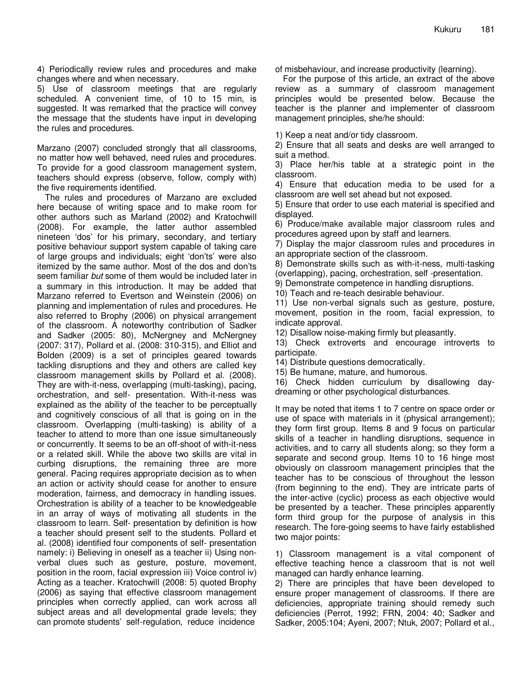4) Periodically review rules and procedures and make changes where and when necessary.

5) Use of classroom meetings that are regularly scheduled. A convenient time, of 10 to 15 min, is suggested. It was remarked that the practice will convey the message that the students have input in developing the rules and procedures.

Marzano (2007) concluded strongly that all classrooms, no matter how well behaved, need rules and procedures. To provide for a good classroom management system, teachers should express (observe, follow, comply with) the five requirements identified.

The rules and procedures of Marzano are excluded here because of writing space and to make room for other authors such as Marland (2002) and Kratochwill (2008). For example, the latter author assembled nineteen 'dos' for his primary, secondary, and tertiary positive behaviour support system capable of taking care of large groups and individuals; eight 'don'ts' were also itemized by the same author. Most of the dos and don'ts seem familiar but some of them would be included later in a summary in this introduction. It may be added that Marzano referred to Evertson and Weinstein (2006) on planning and implementation of rules and procedures. He also referred to Brophy (2006) on physical arrangement of the classroom. A noteworthy contribution of Sadker and Sadker (2005: 80), McNergney and McNergney (2007: 317), Pollard et al. (2008: 310-315), and Elliot and Bolden (2009) is a set of principles geared towards tackling disruptions and they and others are called key classroom management skills by Pollard et al. (2008). They are with-it-ness, overlapping (multi-tasking), pacing, orchestration, and self- presentation. With-it-ness was explained as the ability of the teacher to be perceptually and cognitively conscious of all that is going on in the classroom. Overlapping (multi-tasking) is ability of a teacher to attend to more than one issue simultaneously or concurrently. It seems to be an off-shoot of with-it-ness or a related skill. While the above two skills are vital in curbing disruptions, the remaining three are more general. Pacing requires appropriate decision as to when an action or activity should cease for another to ensure moderation, fairness, and democracy in handling issues. Orchestration is ability of a teacher to be knowledgeable in an array of ways of motivating all students in the classroom to learn. Self- presentation by definition is how a teacher should present self to the students. Pollard et al. (2008) identified four components of self- presentation namely: i) Believing in oneself as a teacher ii) Using nonverbal clues such as gesture, posture, movement, position in the room, facial expression iii) Voice control iv) Acting as a teacher. Kratochwill (2008: 5) quoted Brophy (2006) as saying that effective classroom management principles when correctly applied, can work across all subject areas and all developmental grade levels; they can promote students' self-regulation, reduce incidence

of misbehaviour, and increase productivity (learning).

For the purpose of this article, an extract of the above review as a summary of classroom management principles would be presented below. Because the teacher is the planner and implementer of classroom management principles, she/he should:

1) Keep a neat and/or tidy classroom.

2) Ensure that all seats and desks are well arranged to suit a method.

3) Place her/his table at a strategic point in the classroom.

4) Ensure that education media to be used for a classroom are well set ahead but not exposed.

5) Ensure that order to use each material is specified and displayed.

6) Produce/make available major classroom rules and procedures agreed upon by staff and learners.

7) Display the major classroom rules and procedures in an appropriate section of the classroom.

8) Demonstrate skills such as with-it-ness, multi-tasking (overlapping), pacing, orchestration, self -presentation.

9) Demonstrate competence in handling disruptions.

10) Teach and re-teach desirable behaviour.

11) Use non-verbal signals such as gesture, posture, movement, position in the room, facial expression, to indicate approval.

12) Disallow noise-making firmly but pleasantly.

13) Check extroverts and encourage introverts to participate.

14) Distribute questions democratically.

15) Be humane, mature, and humorous.

16) Check hidden curriculum by disallowing daydreaming or other psychological disturbances.

It may be noted that items 1 to 7 centre on space order or use of space with materials in it (physical arrangement); they form first group. Items 8 and 9 focus on particular skills of a teacher in handling disruptions, sequence in activities, and to carry all students along; so they form a separate and second group. Items 10 to 16 hinge most obviously on classroom management principles that the teacher has to be conscious of throughout the lesson (from beginning to the end). They are intricate parts of the inter-active (cyclic) process as each objective would be presented by a teacher. These principles apparently form third group for the purpose of analysis in this research. The fore-going seems to have fairly established two major points:

1) Classroom management is a vital component of effective teaching hence a classroom that is not well managed can hardly enhance learning.

2) There are principles that have been developed to ensure proper management of classrooms. If there are deficiencies, appropriate training should remedy such deficiencies (Perrot, 1992; FRN, 2004: 40; Sadker and Sadker, 2005:104; Ayeni, 2007; Ntuk, 2007; Pollard et al.,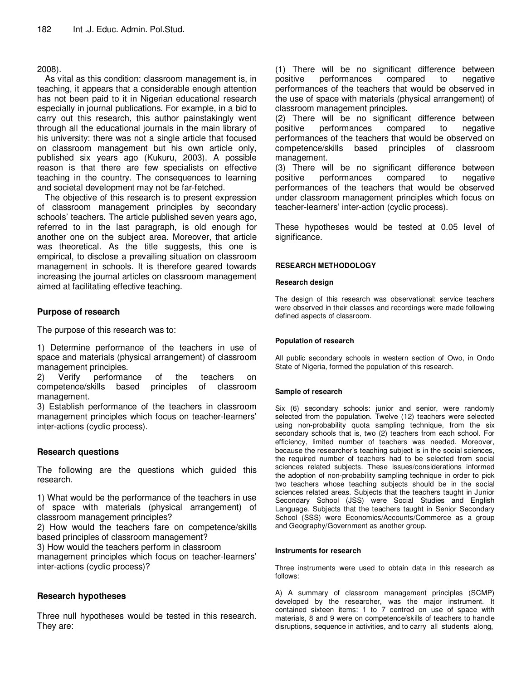# 2008).

As vital as this condition: classroom management is, in teaching, it appears that a considerable enough attention has not been paid to it in Nigerian educational research especially in journal publications. For example, in a bid to carry out this research, this author painstakingly went through all the educational journals in the main library of his university: there was not a single article that focused on classroom management but his own article only, published six years ago (Kukuru, 2003). A possible reason is that there are few specialists on effective teaching in the country. The consequences to learning and societal development may not be far-fetched.

The objective of this research is to present expression of classroom management principles by secondary schools' teachers. The article published seven years ago, referred to in the last paragraph, is old enough for another one on the subject area. Moreover, that article was theoretical. As the title suggests, this one is empirical, to disclose a prevailing situation on classroom management in schools. It is therefore geared towards increasing the journal articles on classroom management aimed at facilitating effective teaching.

# **Purpose of research**

The purpose of this research was to:

1) Determine performance of the teachers in use of space and materials (physical arrangement) of classroom management principles.<br>2) Verify performa

2) Verify performance of the teachers on competence/skills based principles of classroom management.

3) Establish performance of the teachers in classroom management principles which focus on teacher-learners' inter-actions (cyclic process).

# **Research questions**

The following are the questions which guided this research.

1) What would be the performance of the teachers in use of space with materials (physical arrangement) of classroom management principles?

2) How would the teachers fare on competence/skills based principles of classroom management?

3) How would the teachers perform in classroom

management principles which focus on teacher-learners' inter-actions (cyclic process)?

# **Research hypotheses**

Three null hypotheses would be tested in this research. They are:

(1) There will be no significant difference between positive performances compared to negative performances of the teachers that would be observed in the use of space with materials (physical arrangement) of classroom management principles.

(2) There will be no significant difference between positive performances compared to negative performances of the teachers that would be observed on competence/skills based principles of classroom management.

(3) There will be no significant difference between positive performances compared to negative performances of the teachers that would be observed under classroom management principles which focus on teacher-learners' inter-action (cyclic process).

These hypotheses would be tested at 0.05 level of significance.

### **RESEARCH METHODOLOGY**

### **Research design**

The design of this research was observational: service teachers were observed in their classes and recordings were made following defined aspects of classroom.

### **Population of research**

All public secondary schools in western section of Owo, in Ondo State of Nigeria, formed the population of this research.

### **Sample of research**

Six (6) secondary schools: junior and senior, were randomly selected from the population. Twelve (12) teachers were selected using non-probability quota sampling technique, from the six secondary schools that is, two (2) teachers from each school. For efficiency, limited number of teachers was needed. Moreover, because the researcher's teaching subject is in the social sciences, the required number of teachers had to be selected from social sciences related subjects. These issues/considerations informed the adoption of non-probability sampling technique in order to pick two teachers whose teaching subjects should be in the social sciences related areas. Subjects that the teachers taught in Junior Secondary School (JSS) were Social Studies and English Language. Subjects that the teachers taught in Senior Secondary School (SSS) were Economics/Accounts/Commerce as a group and Geography/Government as another group.

#### **Instruments for research**

Three instruments were used to obtain data in this research as follows:

A) A summary of classroom management principles (SCMP) developed by the researcher, was the major instrument. It contained sixteen items: 1 to 7 centred on use of space with materials, 8 and 9 were on competence/skills of teachers to handle disruptions, sequence in activities, and to carry all students along,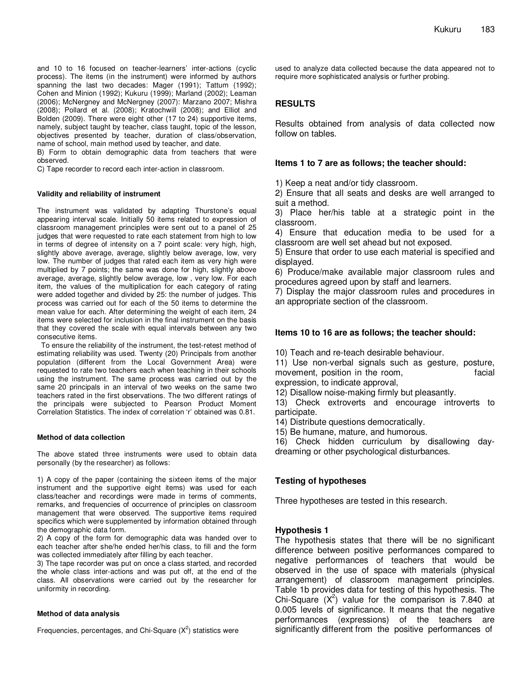and 10 to 16 focused on teacher-learners' inter-actions (cyclic process). The items (in the instrument) were informed by authors spanning the last two decades: Mager (1991); Tattum (1992); Cohen and Minion (1992); Kukuru (1999); Marland (2002); Leaman (2006); McNergney and McNergney (2007): Marzano 2007; Mishra (2008); Pollard et al. (2008); Kratochwill (2008); and Elliot and Bolden (2009). There were eight other (17 to 24) supportive items, namely, subject taught by teacher, class taught, topic of the lesson, objectives presented by teacher, duration of class/observation, name of school, main method used by teacher, and date.

B) Form to obtain demographic data from teachers that were observed.

C) Tape recorder to record each inter-action in classroom.

#### **Validity and reliability of instrument**

The instrument was validated by adapting Thurstone's equal appearing interval scale. Initially 50 items related to expression of classroom management principles were sent out to a panel of 25 judges that were requested to rate each statement from high to low in terms of degree of intensity on a 7 point scale: very high, high, slightly above average, average, slightly below average, low, very low. The number of judges that rated each item as very high were multiplied by 7 points; the same was done for high, slightly above average, average, slightly below average, low , very low. For each item, the values of the multiplication for each category of rating were added together and divided by 25: the number of judges. This process was carried out for each of the 50 items to determine the mean value for each. After determining the weight of each item, 24 items were selected for inclusion in the final instrument on the basis that they covered the scale with equal intervals between any two consecutive items.

 To ensure the reliability of the instrument, the test-retest method of estimating reliability was used. Twenty (20) Principals from another population (different from the Local Government Area) were requested to rate two teachers each when teaching in their schools using the instrument. The same process was carried out by the same 20 principals in an interval of two weeks on the same two teachers rated in the first observations. The two different ratings of the principals were subjected to Pearson Product Moment Correlation Statistics. The index of correlation 'r' obtained was 0.81.

#### **Method of data collection**

The above stated three instruments were used to obtain data personally (by the researcher) as follows:

1) A copy of the paper (containing the sixteen items of the major instrument and the supportive eight items) was used for each class/teacher and recordings were made in terms of comments, remarks, and frequencies of occurrence of principles on classroom management that were observed. The supportive items required specifics which were supplemented by information obtained through the demographic data form.

2) A copy of the form for demographic data was handed over to each teacher after she/he ended her/his class, to fill and the form was collected immediately after filling by each teacher.

3) The tape recorder was put on once a class started, and recorded the whole class inter-actions and was put off, at the end of the class. All observations were carried out by the researcher for uniformity in recording.

#### **Method of data analysis**

Frequencies, percentages, and Chi-Square  $(X^2)$  statistics were

used to analyze data collected because the data appeared not to require more sophisticated analysis or further probing.

## **RESULTS**

Results obtained from analysis of data collected now follow on tables.

### **Items 1 to 7 are as follows; the teacher should:**

1) Keep a neat and/or tidy classroom.

2) Ensure that all seats and desks are well arranged to suit a method.

3) Place her/his table at a strategic point in the classroom.

4) Ensure that education media to be used for a classroom are well set ahead but not exposed.

5) Ensure that order to use each material is specified and displayed.

6) Produce/make available major classroom rules and procedures agreed upon by staff and learners.

7) Display the major classroom rules and procedures in an appropriate section of the classroom.

### **Items 10 to 16 are as follows; the teacher should:**

10) Teach and re-teach desirable behaviour.

11) Use non-verbal signals such as gesture, posture, movement, position in the room, facial

expression, to indicate approval,

12) Disallow noise-making firmly but pleasantly.

13) Check extroverts and encourage introverts to participate.

- 14) Distribute questions democratically.
- 15) Be humane, mature, and humorous.

16) Check hidden curriculum by disallowing daydreaming or other psychological disturbances.

### **Testing of hypotheses**

Three hypotheses are tested in this research.

### **Hypothesis 1**

The hypothesis states that there will be no significant difference between positive performances compared to negative performances of teachers that would be observed in the use of space with materials (physical arrangement) of classroom management principles. Table 1b provides data for testing of this hypothesis. The Chi-Square  $(X^2)$  value for the comparison is 7.840 at 0.005 levels of significance. It means that the negative performances (expressions) of the teachers are significantly different from the positive performances of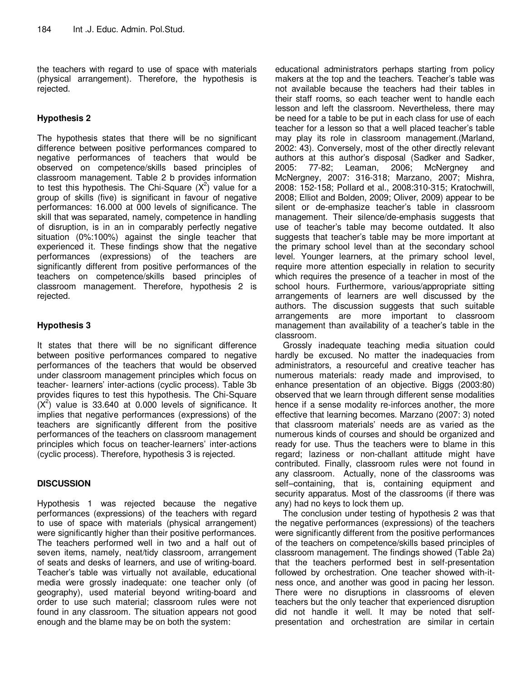the teachers with regard to use of space with materials (physical arrangement). Therefore, the hypothesis is rejected.

# **Hypothesis 2**

The hypothesis states that there will be no significant difference between positive performances compared to negative performances of teachers that would be observed on competence/skills based principles of classroom management. Table 2 b provides information to test this hypothesis. The Chi-Square  $(X^2)$  value for a group of skills (five) is significant in favour of negative performances: 16.000 at 000 levels of significance. The skill that was separated, namely, competence in handling of disruption, is in an in comparably perfectly negative situation (0%:100%) against the single teacher that experienced it. These findings show that the negative performances (expressions) of the teachers are significantly different from positive performances of the teachers on competence/skills based principles of classroom management. Therefore, hypothesis 2 is rejected.

# **Hypothesis 3**

It states that there will be no significant difference between positive performances compared to negative performances of the teachers that would be observed under classroom management principles which focus on teacher- learners' inter-actions (cyclic process). Table 3b provides fiqures to test this hypothesis. The Chi-Square  $(X<sup>2</sup>)$  value is 33.640 at 0.000 levels of significance. It implies that negative performances (expressions) of the teachers are significantly different from the positive performances of the teachers on classroom management principles which focus on teacher-learners' inter-actions (cyclic process). Therefore, hypothesis 3 is rejected.

# **DISCUSSION**

Hypothesis 1 was rejected because the negative performances (expressions) of the teachers with regard to use of space with materials (physical arrangement) were significantly higher than their positive performances. The teachers performed well in two and a half out of seven items, namely, neat/tidy classroom, arrangement of seats and desks of learners, and use of writing-board. Teacher's table was virtually not available, educational media were grossly inadequate: one teacher only (of geography), used material beyond writing-board and order to use such material; classroom rules were not found in any classroom. The situation appears not good enough and the blame may be on both the system:

educational administrators perhaps starting from policy makers at the top and the teachers. Teacher's table was not available because the teachers had their tables in their staff rooms, so each teacher went to handle each lesson and left the classroom. Nevertheless, there may be need for a table to be put in each class for use of each teacher for a lesson so that a well placed teacher's table may play its role in classroom management.(Marland, 2002: 43). Conversely, most of the other directly relevant authors at this author's disposal (Sadker and Sadker, 2005: 77-82; Leaman, 2006; McNergney and McNergney, 2007: 316-318; Marzano, 2007; Mishra, 2008: 152-158; Pollard et al., 2008:310-315; Kratochwill, 2008; Elliot and Bolden, 2009; Oliver, 2009) appear to be silent or de-emphasize teacher's table in classroom management. Their silence/de-emphasis suggests that use of teacher's table may become outdated. It also suggests that teacher's table may be more important at the primary school level than at the secondary school level. Younger learners, at the primary school level, require more attention especially in relation to security which requires the presence of a teacher in most of the school hours. Furthermore, various/appropriate sitting arrangements of learners are well discussed by the authors. The discussion suggests that such suitable arrangements are more important to classroom management than availability of a teacher's table in the classroom.

Grossly inadequate teaching media situation could hardly be excused. No matter the inadequacies from administrators, a resourceful and creative teacher has numerous materials: ready made and improvised, to enhance presentation of an objective. Biggs (2003:80) observed that we learn through different sense modalities hence if a sense modality re-inforces another, the more effective that learning becomes. Marzano (2007: 3) noted that classroom materials' needs are as varied as the numerous kinds of courses and should be organized and ready for use. Thus the teachers were to blame in this regard; laziness or non-challant attitude might have contributed. Finally, classroom rules were not found in any classroom. Actually, none of the classrooms was self–containing, that is, containing equipment and security apparatus. Most of the classrooms (if there was any) had no keys to lock them up.

The conclusion under testing of hypothesis 2 was that the negative performances (expressions) of the teachers were significantly different from the positive performances of the teachers on competence/skills based principles of classroom management. The findings showed (Table 2a) that the teachers performed best in self-presentation followed by orchestration. One teacher showed with-itness once, and another was good in pacing her lesson. There were no disruptions in classrooms of eleven teachers but the only teacher that experienced disruption did not handle it well. It may be noted that selfpresentation and orchestration are similar in certain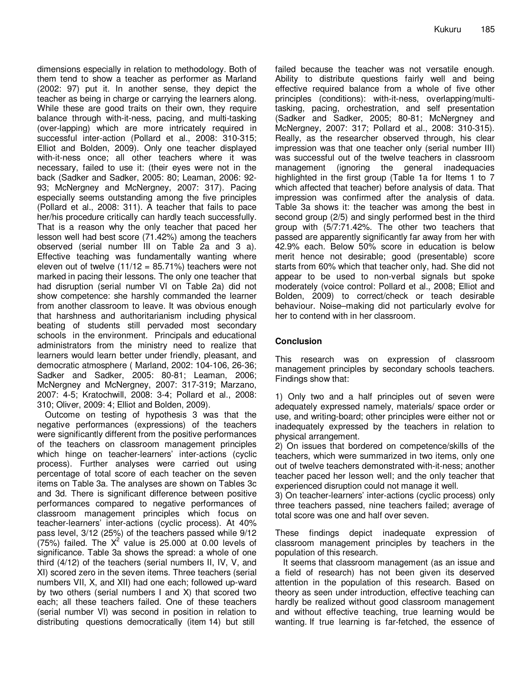dimensions especially in relation to methodology. Both of them tend to show a teacher as performer as Marland (2002: 97) put it. In another sense, they depict the teacher as being in charge or carrying the learners along. While these are good traits on their own, they require balance through with-it-ness, pacing, and multi-tasking (over-lapping) which are more intricately required in successful inter-action (Pollard et al., 2008: 310-315; Elliot and Bolden, 2009). Only one teacher displayed with-it-ness once; all other teachers where it was necessary, failed to use it: (their eyes were not in the back (Sadker and Sadker, 2005: 80; Leaman, 2006: 92- 93; McNergney and McNergney, 2007: 317). Pacing especially seems outstanding among the five principles (Pollard et al., 2008: 311). A teacher that fails to pace her/his procedure critically can hardly teach successfully. That is a reason why the only teacher that paced her lesson well had best score (71.42%) among the teachers observed (serial number III on Table 2a and 3 a). Effective teaching was fundamentally wanting where eleven out of twelve  $(11/12 = 85.71%)$  teachers were not marked in pacing their lessons. The only one teacher that had disruption (serial number VI on Table 2a) did not show competence: she harshly commanded the learner from another classroom to leave. It was obvious enough that harshness and authoritarianism including physical beating of students still pervaded most secondary schools in the environment. Principals and educational administrators from the ministry need to realize that learners would learn better under friendly, pleasant, and democratic atmosphere ( Marland, 2002: 104-106, 26-36; Sadker and Sadker, 2005: 80-81; Leaman, 2006; McNergney and McNergney, 2007: 317-319; Marzano, 2007: 4-5; Kratochwill, 2008: 3-4; Pollard et al., 2008: 310; Oliver, 2009: 4; Elliot and Bolden, 2009).

Outcome on testing of hypothesis 3 was that the negative performances (expressions) of the teachers were significantly different from the positive performances of the teachers on classroom management principles which hinge on teacher-learners' inter-actions (cyclic process). Further analyses were carried out using percentage of total score of each teacher on the seven items on Table 3a. The analyses are shown on Tables 3c and 3d. There is significant difference between positive performances compared to negative performances of classroom management principles which focus on teacher-learners' inter-actions (cyclic process). At 40% pass level, 3/12 (25%) of the teachers passed while 9/12  $(75%)$  failed. The  $X^2$  value is 25.000 at 0.00 levels of significance. Table 3a shows the spread: a whole of one third (4/12) of the teachers (serial numbers II, IV, V, and XI) scored zero in the seven items. Three teachers (serial numbers VII, X, and XII) had one each; followed up-ward by two others (serial numbers I and X) that scored two each; all these teachers failed. One of these teachers (serial number VI) was second in position in relation to distributing questions democratically (item 14) but still

failed because the teacher was not versatile enough. Ability to distribute questions fairly well and being effective required balance from a whole of five other principles (conditions): with-it-ness, overlapping/multitasking, pacing, orchestration, and self presentation (Sadker and Sadker, 2005; 80-81; McNergney and McNergney, 2007: 317; Pollard et al., 2008: 310-315). Really, as the researcher observed through, his clear impression was that one teacher only (serial number III) was successful out of the twelve teachers in classroom management (ignoring the general inadequacies highlighted in the first group (Table 1a for Items 1 to 7 which affected that teacher) before analysis of data. That impression was confirmed after the analysis of data. Table 3a shows it: the teacher was among the best in second group (2/5) and singly performed best in the third group with (5/7:71.42%. The other two teachers that passed are apparently significantly far away from her with 42.9% each. Below 50% score in education is below merit hence not desirable; good (presentable) score starts from 60% which that teacher only, had. She did not appear to be used to non-verbal signals but spoke moderately (voice control: Pollard et al., 2008; Elliot and Bolden, 2009) to correct/check or teach desirable behaviour. Noise–making did not particularly evolve for her to contend with in her classroom.

# **Conclusion**

This research was on expression of classroom management principles by secondary schools teachers. Findings show that:

1) Only two and a half principles out of seven were adequately expressed namely, materials/ space order or use, and writing-board; other principles were either not or inadequately expressed by the teachers in relation to physical arrangement.

2) On issues that bordered on competence/skills of the teachers, which were summarized in two items, only one out of twelve teachers demonstrated with-it-ness; another teacher paced her lesson well; and the only teacher that experienced disruption could not manage it well.

3) On teacher-learners' inter-actions (cyclic process) only three teachers passed, nine teachers failed; average of total score was one and half over seven.

These findings depict inadequate expression of classroom management principles by teachers in the population of this research.

It seems that classroom management (as an issue and a field of research) has not been given its deserved attention in the population of this research. Based on theory as seen under introduction, effective teaching can hardly be realized without good classroom management and without effective teaching, true learning would be wanting. If true learning is far-fetched, the essence of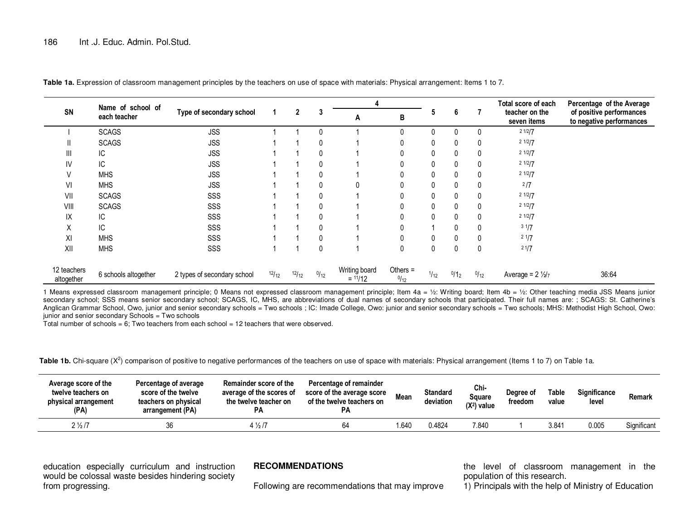|                           | Name of school of    |                             |       |       |      | 4                          |                    |              |              |              | Total score of each           | Percentage of the Average                            |
|---------------------------|----------------------|-----------------------------|-------|-------|------|----------------------------|--------------------|--------------|--------------|--------------|-------------------------------|------------------------------------------------------|
| SN                        | each teacher         | Type of secondary school    |       | 2     | 3    | A                          | В                  |              | 6            |              | teacher on the<br>seven items | of positive performances<br>to negative performances |
|                           | <b>SCAGS</b>         | <b>JSS</b>                  |       |       |      |                            |                    | 0            | 0            | 0            | 21/2/7                        |                                                      |
| Ш                         | <b>SCAGS</b>         | <b>JSS</b>                  |       |       | 0    |                            |                    | 0            | 0            | 0            | 2 1/2/7                       |                                                      |
| Ш                         | IC.                  | <b>JSS</b>                  |       |       | 0    |                            |                    | $\mathbf{0}$ | $\mathbf{0}$ | $\Omega$     | 2 1/2/7                       |                                                      |
| IV                        | IC                   | <b>JSS</b>                  |       |       | 0    |                            |                    | 0            | 0            | $\Omega$     | 2 1/2/7                       |                                                      |
| V                         | <b>MHS</b>           | <b>JSS</b>                  |       |       | 0    |                            |                    | 0            | 0            | 0            | 2 1/2/7                       |                                                      |
| VI                        | <b>MHS</b>           | <b>JSS</b>                  |       |       | 0    | 0                          |                    | 0            | 0            | 0            | $^{2}/7$                      |                                                      |
| VII                       | <b>SCAGS</b>         | SSS                         |       |       | 0    |                            |                    | $\mathbf{0}$ | 0            | 0            | 2 1/2/7                       |                                                      |
| VIII                      | <b>SCAGS</b>         | SSS                         |       |       | 0    |                            |                    | 0            | 0            | 0            | 2 1/2/7                       |                                                      |
| IX                        | IС                   | SSS                         |       |       | 0    |                            |                    | $\mathbf{0}$ | $\mathbf{0}$ | $\Omega$     | 2 1/2/7                       |                                                      |
| X                         | IC                   | SSS                         |       |       | 0    |                            |                    |              | 0            | 0            | $3 \frac{1}{7}$               |                                                      |
| XI                        | <b>MHS</b>           | SSS                         |       |       | 0    |                            |                    | 0            | 0            | 0            | 21/7                          |                                                      |
| XII                       | <b>MHS</b>           | SSS                         |       |       | 0    |                            | $\Omega$           | $\mathbf{0}$ | $\mathbf{0}$ | $\mathbf{0}$ | 21/7                          |                                                      |
| 12 teachers<br>altogether | 6 schools altogether | 2 types of secondary school | 12/12 | 12/12 | 0/12 | Writing board<br>$=$ 11/12 | Others $=$<br>0/12 | 1/12         | $^{0/12}$    | 0/12         | Average = $2\frac{1}{2}$      | 36:64                                                |

**Table 1a.** Expression of classroom management principles by the teachers on use of space with materials: Physical arrangement: Items 1 to 7.

1 Means expressed classroom management principle; 0 Means not expressed classroom management principle; Item  $4a = \frac{1}{2}$ : Writing board; Item  $4b = \frac{1}{2}$ : Other teaching media JSS Means junior secondary school; SSS means senior secondary school; SCAGS, IC, MHS, are abbreviations of dual names of secondary schools that participated. Their full names are: ; SCAGS: St. Catherine's Anglican Grammar School, Owo, junior and senior secondary schools = Two schools ; IC: Imade College, Owo: junior and senior secondary schools = Two schools; MHS: Methodist High School, Owo: junior and senior secondary Schools = Two schools

Total number of schools = 6; Two teachers from each school = 12 teachers that were observed.

Table 1b. Chi-square (X<sup>2</sup>) comparison of positive to negative performances of the teachers on use of space with materials: Physical arrangement (Items 1 to 7) on Table 1a.

| Average score of the<br>twelve teachers on<br>physical arrangement<br>(PA) | Percentage of average<br>score of the twelve<br>teachers on physical<br>arrangement (PA) | Remainder score of the<br>average of the scores of<br>the twelve teacher on<br><b>PA</b> | Percentage of remainder<br>score of the average score<br>of the twelve teachers on<br><b>PA</b> | Mean | <b>Standard</b><br>deviation | Chi-<br>Sauare<br>$(X2)$ value | Degree of<br>freedom | Table<br>value | Significance<br>level | Remark      |
|----------------------------------------------------------------------------|------------------------------------------------------------------------------------------|------------------------------------------------------------------------------------------|-------------------------------------------------------------------------------------------------|------|------------------------------|--------------------------------|----------------------|----------------|-----------------------|-------------|
| $2\frac{1}{2}$ /7                                                          | 36                                                                                       | $4\frac{1}{2}$ /7                                                                        |                                                                                                 | .640 | 0.4824                       | 7.840                          |                      | 3.841          | 0.005                 | Significant |

education especially curriculum and instruction would be colossal waste besides hindering society from progressing.

# **RECOMMENDATIONS**

Following are recommendations that may improve

the level of classroom management in the population of this research.

1) Principals with the help of Ministry of Education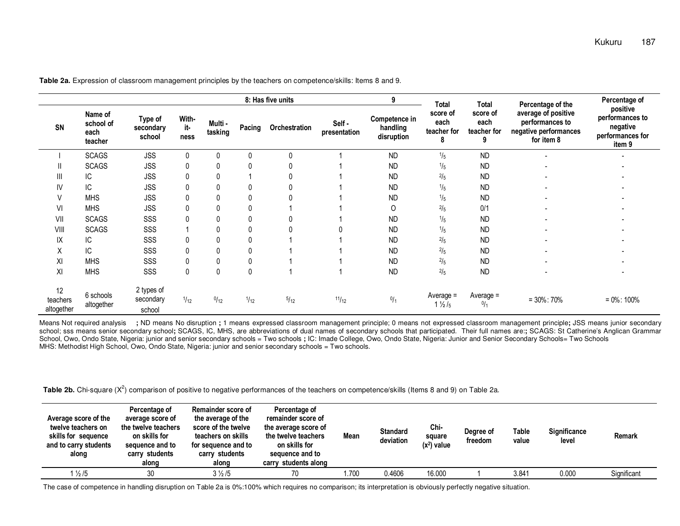|                              |                                         |                                   |                      |                    |        | 8: Has five units |                       | 9                                       | <b>Total</b>                                  | <b>Total</b>                    | Percentage of the                                                             | Percentage of                                                         |  |
|------------------------------|-----------------------------------------|-----------------------------------|----------------------|--------------------|--------|-------------------|-----------------------|-----------------------------------------|-----------------------------------------------|---------------------------------|-------------------------------------------------------------------------------|-----------------------------------------------------------------------|--|
| SN                           | Name of<br>school of<br>each<br>teacher | Type of<br>secondary<br>school    | With-<br>it-<br>ness | Multi -<br>tasking | Pacing | Orchestration     | Self-<br>presentation | Competence in<br>handling<br>disruption | score of<br>each<br>teacher for<br>8          | score of<br>each<br>teacher for | average of positive<br>performances to<br>negative performances<br>for item 8 | positive<br>performances to<br>negative<br>performances for<br>item 9 |  |
|                              | <b>SCAGS</b>                            | <b>JSS</b>                        | $\Omega$             | 0                  |        | 0                 |                       | <b>ND</b>                               | $\frac{1}{5}$                                 | <b>ND</b>                       |                                                                               |                                                                       |  |
|                              | <b>SCAGS</b>                            | <b>JSS</b>                        | $\Omega$             | 0                  |        | 0                 |                       | <b>ND</b>                               | $\frac{1}{5}$                                 | <b>ND</b>                       | $\overline{\phantom{0}}$                                                      |                                                                       |  |
|                              | IC                                      | <b>JSS</b>                        |                      | 0                  |        | 0                 |                       | <b>ND</b>                               | 2/5                                           | <b>ND</b>                       |                                                                               |                                                                       |  |
| IV                           | IC                                      | <b>JSS</b>                        |                      | $\mathbf{0}$       |        | 0                 |                       | <b>ND</b>                               | 1/5                                           | <b>ND</b>                       |                                                                               |                                                                       |  |
|                              | <b>MHS</b>                              | <b>JSS</b>                        | $\Omega$             | 0                  |        | $\mathbf{0}$      |                       | <b>ND</b>                               | $\frac{1}{5}$                                 | <b>ND</b>                       |                                                                               |                                                                       |  |
| VI                           | <b>MHS</b>                              | <b>JSS</b>                        |                      | 0                  |        |                   |                       | 0                                       | 2/5                                           | 0/1                             |                                                                               |                                                                       |  |
| VII                          | <b>SCAGS</b>                            | SSS                               |                      | 0                  |        | 0                 |                       | <b>ND</b>                               | $\frac{1}{5}$                                 | <b>ND</b>                       |                                                                               |                                                                       |  |
| VIII                         | <b>SCAGS</b>                            | SSS                               |                      | 0                  |        | 0                 |                       | <b>ND</b>                               | $\frac{1}{5}$                                 | <b>ND</b>                       |                                                                               |                                                                       |  |
| ΙX                           | IC                                      | SSS                               | 0                    | $\mathbf{0}$       | 0      |                   |                       | <b>ND</b>                               | $2/5$                                         | <b>ND</b>                       |                                                                               |                                                                       |  |
| $\checkmark$<br>v            | IC                                      | SSS                               | $\Omega$             | 0                  |        |                   |                       | <b>ND</b>                               | 2/5                                           | <b>ND</b>                       |                                                                               |                                                                       |  |
| ΧI                           | <b>MHS</b>                              | SSS                               |                      | 0                  |        |                   |                       | <b>ND</b>                               | 2/5                                           | <b>ND</b>                       |                                                                               |                                                                       |  |
| XI                           | <b>MHS</b>                              | SSS                               | $\Omega$             | 0                  | 0      |                   |                       | <b>ND</b>                               | 2/5                                           | <b>ND</b>                       |                                                                               |                                                                       |  |
| 12<br>teachers<br>altogether | 6 schools<br>altogether                 | 2 types of<br>secondary<br>school | 1/12                 | 0/12               | 1/12   | 5/12              | 11/12                 | 0/1                                     | Average $=$<br>$1 \frac{1}{2}$ / <sub>5</sub> | Average =<br>0/1                | $= 30\% : 70\%$                                                               | $= 0\% : 100\%$                                                       |  |

**Table 2a.** Expression of classroom management principles by the teachers on competence/skills: Items 8 and 9.

Means Not required analysis **;** ND means No disruption **;** 1 means expressed classroom management principle; 0 means not expressed classroom management principle**;** JSS means junior secondary school; sss means senior secondary school**;** SCAGS, IC, MHS, are abbreviations of dual names of secondary schools that participated. Their full names are:**;** SCAGS: St Catherine's Anglican Grammar School, Owo, Ondo State, Nigeria: junior and senior secondary schools = Two schools ; IC: Imade College, Owo, Ondo State, Nigeria: Junior and Senior Secondary Schools= Two Schools MHS: Methodist High School, Owo, Ondo State, Nigeria: junior and senior secondary schools = Two schools.

**Table 2b.** Chi-square (X<sup>2</sup>) comparison of positive to negative performances of the teachers on competence/skills (Items 8 and 9) on Table 2a.

| Average score of the<br>twelve teachers on<br>skills for sequence<br>and to carry students<br>along | Percentage of<br>average score of<br>the twelve teachers<br>on skills for<br>sequence and to<br>carry students<br>along | Remainder score of<br>the average of the<br>score of the twelve<br>teachers on skills<br>for sequence and to<br>carry students<br>along | Percentage of<br>remainder score of<br>the average score of<br>the twelve teachers<br>on skills for<br>sequence and to<br>carry students along | Mean  | <b>Standard</b><br>deviation | Chi-<br>square<br>$(x^2)$ value | Degree of<br>freedom | Table<br>value | Significance<br>level | <b>Remark</b> |
|-----------------------------------------------------------------------------------------------------|-------------------------------------------------------------------------------------------------------------------------|-----------------------------------------------------------------------------------------------------------------------------------------|------------------------------------------------------------------------------------------------------------------------------------------------|-------|------------------------------|---------------------------------|----------------------|----------------|-----------------------|---------------|
| $\frac{1}{2}$ /5                                                                                    | 30                                                                                                                      | $3\frac{1}{2}$ /5                                                                                                                       | 70                                                                                                                                             | i.700 | 0.4606                       | 16.000                          |                      | 3.841          | 0.000                 | Significant   |

The case of competence in handling disruption on Table 2a is 0%:100% which requires no comparison; its interpretation is obviously perfectly negative situation.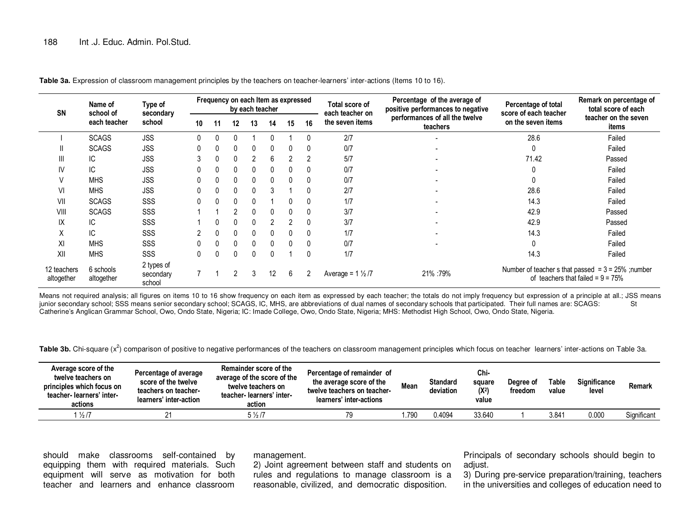| <b>SN</b>                 | Name of<br>school of    | Type of<br>secondary              | Frequency on each Item as expressed<br>by each teacher |          |          |          |    |              |          | Total score of<br>each teacher on | Percentage of the average of<br>positive performances to negative | Percentage of total<br>score of each teacher | Remark on percentage of<br>total score of each                                              |  |
|---------------------------|-------------------------|-----------------------------------|--------------------------------------------------------|----------|----------|----------|----|--------------|----------|-----------------------------------|-------------------------------------------------------------------|----------------------------------------------|---------------------------------------------------------------------------------------------|--|
|                           | each teacher            | school                            | 10 <sup>°</sup>                                        | 11       | 12       | 13       | 14 | 15           | 16       | the seven items                   | performances of all the twelve<br>teachers                        | on the seven items                           | teacher on the seven<br>items                                                               |  |
|                           | <b>SCAGS</b>            | <b>JSS</b>                        |                                                        |          |          |          |    |              |          | 2/7                               |                                                                   | 28.6                                         | Failed                                                                                      |  |
|                           | <b>SCAGS</b>            | <b>JSS</b>                        |                                                        |          | 0        | $\Omega$ | 0  | 0            |          | 0/7                               |                                                                   | 0                                            | Failed                                                                                      |  |
| ш                         | IC.                     | <b>JSS</b>                        | 3                                                      |          | $\Omega$ | 2        | 6  |              |          | 5/7                               |                                                                   | 71.42                                        | Passed                                                                                      |  |
| IV                        | IС                      | <b>JSS</b>                        | $\mathbf{0}$                                           |          | $\Omega$ | $\Omega$ | 0  | 0            |          | 0/7                               |                                                                   |                                              | Failed                                                                                      |  |
| V                         | <b>MHS</b>              | <b>JSS</b>                        | $\mathbf{0}$                                           | 0        | $\Omega$ | $\Omega$ | 0  | $\mathbf{0}$ |          | 0/7                               |                                                                   |                                              | Failed                                                                                      |  |
| VI                        | <b>MHS</b>              | <b>JSS</b>                        | $\mathbf{0}$                                           | 0        | 0        | $\Omega$ | 3  |              |          | 2/7                               |                                                                   | 28.6                                         | Failed                                                                                      |  |
| VII                       | <b>SCAGS</b>            | SSS                               | $\Omega$                                               | $\Omega$ | $\Omega$ | $\Omega$ |    | 0            |          | 1/7                               |                                                                   | 14.3                                         | Failed                                                                                      |  |
| VIII                      | <b>SCAGS</b>            | SSS                               |                                                        |          | 2        | $\Omega$ | 0  | $\mathbf{0}$ |          | 3/7                               |                                                                   | 42.9                                         | Passed                                                                                      |  |
| IX                        | IС                      | SSS                               |                                                        |          | $\Omega$ | $\Omega$ | 2  |              |          | 3/7                               |                                                                   | 42.9                                         | Passed                                                                                      |  |
| $\checkmark$<br>v         | IC.                     | SSS                               | $\mathfrak{p}$                                         | 0        | $\Omega$ | $\Omega$ | 0  | $\mathbf{0}$ |          | 1/7                               |                                                                   | 14.3                                         | Failed                                                                                      |  |
| XI                        | <b>MHS</b>              | SSS                               | $\mathbf{0}$                                           | $\Omega$ | $\Omega$ | $\Omega$ | 0  | $\Omega$     |          | 0/7                               |                                                                   |                                              | Failed                                                                                      |  |
| XII                       | <b>MHS</b>              | SSS                               | $\Omega$                                               | $\Omega$ | $\Omega$ | $\Omega$ | U  |              | $\Omega$ | 1/7                               |                                                                   | 14.3                                         | Failed                                                                                      |  |
| 12 teachers<br>altogether | 6 schools<br>altogether | 2 types of<br>secondary<br>school |                                                        |          |          | 3        | 12 | 6            | 2        | Average = $1\frac{1}{2}$ /7       | 21% :79%                                                          |                                              | Number of teacher s that passed = $3 = 25%$ ; number<br>of teachers that failed = $9 = 75%$ |  |

Table 3a. Expression of classroom management principles by the teachers on teacher-learners' inter-actions (Items 10 to 16).

Means not required analysis; all figures on items 10 to 16 show frequency on each item as expressed by each teacher; the totals do not imply frequency but expression of a principle at all.; JSS means iunior secondary schoo junior secondary school; SSS means senior secondary school; SCAGS, IC, MHS, are abbreviations of dual names of secondary schools that participated. Their full names are: SCAGS: Catherine's Anglican Grammar School, Owo, Ondo State, Nigeria; IC: Imade College, Owo, Ondo State, Nigeria; MHS: Methodist High School, Owo, Ondo State, Nigeria.

Table 3b. Chi-square (x<sup>2</sup>) comparison of positive to negative performances of the teachers on classroom management principles which focus on teacher learners' inter-actions on Table 3a.

| Average score of the<br>twelve teachers on<br>principles which focus on<br>teacher-learners' inter-<br>actions | Percentage of average<br>score of the twelve<br>teachers on teacher-<br>learners' inter-action | Remainder score of the<br>average of the score of the<br>twelve teachers on<br>teacher-learners' inter-<br>action | Percentage of remainder of<br>the average score of the<br>twelve teachers on teacher-<br>learners' inter-actions | <b>Mean</b> | <b>Standard</b><br>deviation | Chi-<br>square<br>$(X^2)$<br>value | Degree of<br>freedom | Table<br>value | <b>Significance</b><br>level | Remark      |
|----------------------------------------------------------------------------------------------------------------|------------------------------------------------------------------------------------------------|-------------------------------------------------------------------------------------------------------------------|------------------------------------------------------------------------------------------------------------------|-------------|------------------------------|------------------------------------|----------------------|----------------|------------------------------|-------------|
| $\frac{1}{2}$ /7                                                                                               |                                                                                                | $5\frac{1}{2}$ /7                                                                                                 | 79                                                                                                               | .790        | 0.4094                       | 33.640                             |                      | 3.841          | 0.000                        | Significant |

should make classrooms self-contained by equipping them with required materials. Such equipment will serve as motivation for both teacher and learners and enhance classroom

management.

 2) Joint agreement between staff and students on rules and regulations to manage classroom is a reasonable, civilized, and democratic disposition.

Principals of secondary schools should begin to adjust.

 3) During pre-service preparation/training, teachers in the universities and colleges of education need to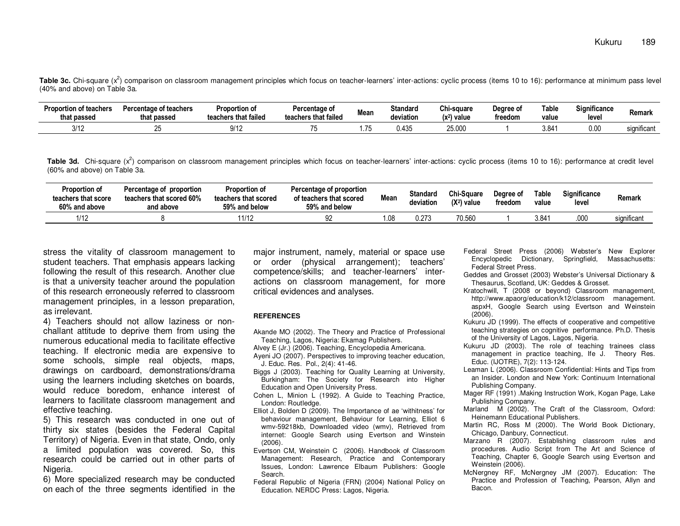**Table 3c.** Chi-square (x<sup>2</sup>) comparison on classroom management principles which focus on teacher-learners' inter-actions: cyclic process (items 10 to 16): performance at minimum pass level (40% and above) on Table 3a.

| <b>Proportion of teachers</b><br>that passed | <b>Percentage of teachers</b><br>that passed | Proportion of<br>teachers that failed | Percentage of<br>teachers that failed | Mean | Standard<br>deviation | Chi-sauare<br>$(x^2)$ value | Degree of<br>treedom | <b>Table</b><br>value | Significance<br>leve | Remark                  |
|----------------------------------------------|----------------------------------------------|---------------------------------------|---------------------------------------|------|-----------------------|-----------------------------|----------------------|-----------------------|----------------------|-------------------------|
| 3/12                                         | ~-                                           | Q/1<br>JI 14                          |                                       |      | ).435                 | OF OOL<br>20.UU             |                      | 3.84 <sup>4</sup>     | 0.00                 | $\cdots$<br>significant |

Table 3d. Chi-square (x<sup>2</sup>) comparison on classroom management principles which focus on teacher-learners' inter-actions: cyclic process (items 10 to 16): performance at credit level (60% and above) on Table 3a.

| <b>Proportion of</b><br>teachers that score<br>60% and above | Percentage of proportion<br>teachers that scored 60%<br>and above | Proportion of<br>teachers that scored<br>59% and below | Percentage of proportion<br>of teachers that scored<br>59% and below | Mean  | <b>Standard</b><br>deviation | Chi-Sauare<br>$(X^2)$ value | Dearee of<br>treedom | Table<br>value | <b>Significance</b><br>level | <b>Remark</b> |
|--------------------------------------------------------------|-------------------------------------------------------------------|--------------------------------------------------------|----------------------------------------------------------------------|-------|------------------------------|-----------------------------|----------------------|----------------|------------------------------|---------------|
| 1/12                                                         |                                                                   | 11/12                                                  | ັບ∠                                                                  | 08. ا | 0.273                        | 70.560                      |                      | 3.84           | .000                         | significant   |

stress the vitality of classroom management to student teachers. That emphasis appears lacking following the result of this research. Another clue is that a university teacher around the population of this research erroneously referred to classroom management principles, in a lesson preparation, as irrelevant.

 4) Teachers should not allow laziness or nonchallant attitude to deprive them from using the numerous educational media to facilitate effective teaching. If electronic media are expensive to some schools, simple real objects, maps, drawings on cardboard, demonstrations/drama using the learners including sketches on boards, would reduce boredom, enhance interest of learners to facilitate classroom management and effective teaching.

 5) This research was conducted in one out of thirty six states (besides the Federal Capital Territory) of Nigeria. Even in that state, Ondo, only a limited population was covered. So, this research could be carried out in other parts of Nigeria.

 6) More specialized research may be conducted on each of the three segments identified in the major instrument, namely, material or space use or order (physical arrangement); teachers' competence/skills; and teacher-learners' interactions on classroom management, for more critical evidences and analyses.

#### **REFERENCES**

- Akande MO (2002). The Theory and Practice of Professional Teaching, Lagos, Nigeria: Ekamag Publishers.
- Alvey E (Jr.) (2006). Teaching, Encyclopedia Americana.
- Ayeni JO (2007). Perspectives to improving teacher education, J. Educ. Res. Pol., 2(4): 41-46.
- Biggs J (2003). Teaching for Quality Learning at University, Burkingham: The Society for Research into Higher Education and Open University Press.
- Cohen L, Minion L (1992). A Guide to Teaching Practice, London: Routledge.
- Elliot J, Bolden D (2009). The Importance of ae 'withitness' for behaviour management, Behaviour for Learning, Elliot 6 wmv-59218kb, Downloaded video (wmv), Retrieved from internet: Google Search using Evertson and Winstein(2006).
- Evertson CM, Weinstein C (2006). Handbook of Classroom Management: Research, Practice and Contemporary Issues, London: Lawrence Elbaum Publishers: Google Search.
- Federal Republic of Nigeria (FRN) (2004) National Policy on Education. NERDC Press: Lagos, Nigeria.
- Federal Street Press (2006) Webster's New Explorer Encyclopedic Dictionary, Springfield, Massachusetts: Federal Street Press.
- Geddes and Grosset (2003) Webster's Universal Dictionary & Thesaurus, Scotland, UK: Geddes & Grosset.
- Kratochwill, T (2008 or beyond) Classroom management, http://www.apaorg/education/k12/classroom management. aspxH, Google Search using Evertson and Weinstein (2006).
- Kukuru JD (1999). The effects of cooperative and competitive teaching strategies on cognitive performance. Ph.D. Thesis of the University of Lagos, Lagos, Nigeria.
- Kukuru JD (2003). The role of teaching trainees class management in practice teaching, Ife J. Theory Res. Educ. (IJOTRE), 7(2): 113-124.
- Leaman L (2006). Classroom Confidential: Hints and Tips from an Insider. London and New York: Continuum International Publishing Company.
- Mager RF (1991) .Making Instruction Work, Kogan Page, Lake Publishing Company.
- Marland M (2002). The Craft of the Classroom, Oxford: Heinemann Educational Publishers.
- Martin RC, Ross M (2000). The World Book Dictionary, Chicago, Danbury, Connecticut.
- Marzano R (2007). Establishing classroom rules and procedures. Audio Script from The Art and Science of Teaching, Chapter 6, Google Search using Evertson and Weinstein (2006).
- McNergney RF, McNergney JM (2007). Education: The Practice and Profession of Teaching, Pearson, Allyn and Bacon.